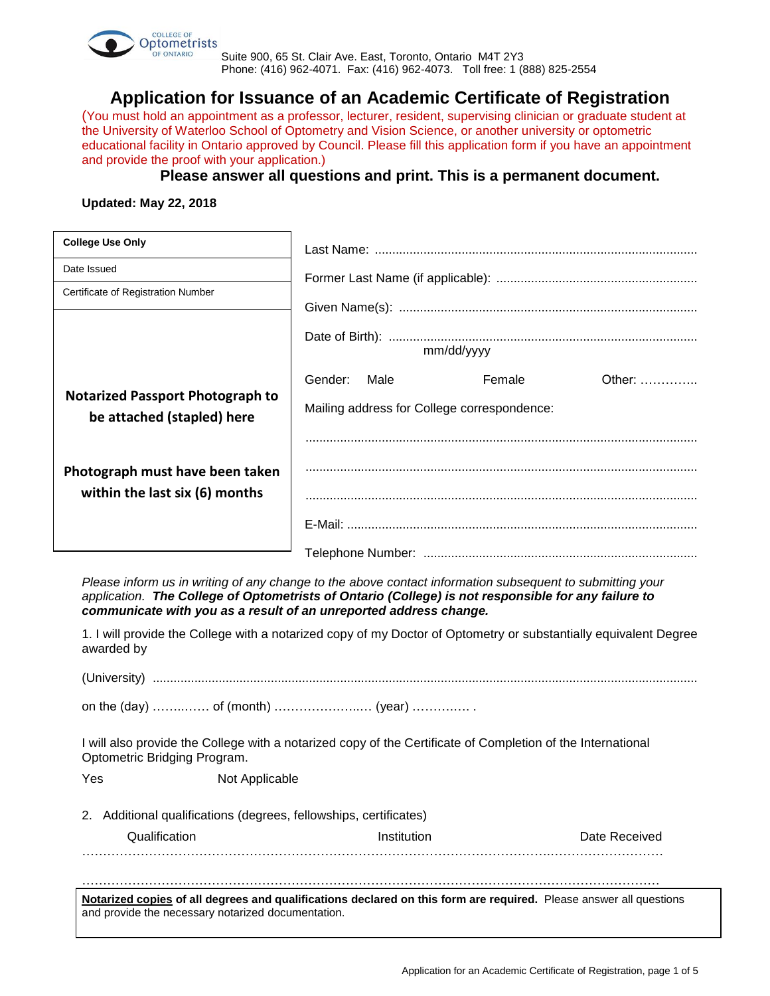

Suite 900, 65 St. Clair Ave. East, Toronto, Ontario M4T 2Y3 Phone: (416) 962-4071. Fax: (416) 962-4073. Toll free: 1 (888) 825-2554

**Application for Issuance of an Academic Certificate of Registration**

(You must hold an appointment as a professor, lecturer, resident, supervising clinician or graduate student at the University of Waterloo School of Optometry and Vision Science, or another university or optometric educational facility in Ontario approved by Council. Please fill this application form if you have an appointment and provide the proof with your application.)

## **Please answer all questions and print. This is a permanent document.**

**Updated: May 22, 2018**

| <b>College Use Only</b>                                               |                                                                                             |  |  |  |
|-----------------------------------------------------------------------|---------------------------------------------------------------------------------------------|--|--|--|
| Date Issued                                                           |                                                                                             |  |  |  |
| Certificate of Registration Number                                    | mm/dd/yyyy                                                                                  |  |  |  |
|                                                                       |                                                                                             |  |  |  |
| <b>Notarized Passport Photograph to</b><br>be attached (stapled) here | Female<br>Other: $\ldots$<br>Gender:<br>Male<br>Mailing address for College correspondence: |  |  |  |
| Photograph must have been taken<br>within the last six (6) months     |                                                                                             |  |  |  |
|                                                                       |                                                                                             |  |  |  |

*Please inform us in writing of any change to the above contact information subsequent to submitting your application. The College of Optometrists of Ontario (College) is not responsible for any failure to communicate with you as a result of an unreported address change.*

1. I will provide the College with a notarized copy of my Doctor of Optometry or substantially equivalent Degree awarded by

(University) .............................................................................................................................................................

on the (day) ……..…… of (month) …………….…..… (year) ……….…. .

I will also provide the College with a notarized copy of the Certificate of Completion of the International Optometric Bridging Program.

Yes Not Applicable

2. Additional qualifications (degrees, fellowships, certificates) 

| Qualification | Institution | Date Received |
|---------------|-------------|---------------|
|               |             |               |

…………………………………………………………………………………………………………………………

**Notarized copies of all degrees and qualifications declared on this form are required.** Please answer all questions and provide the necessary notarized documentation.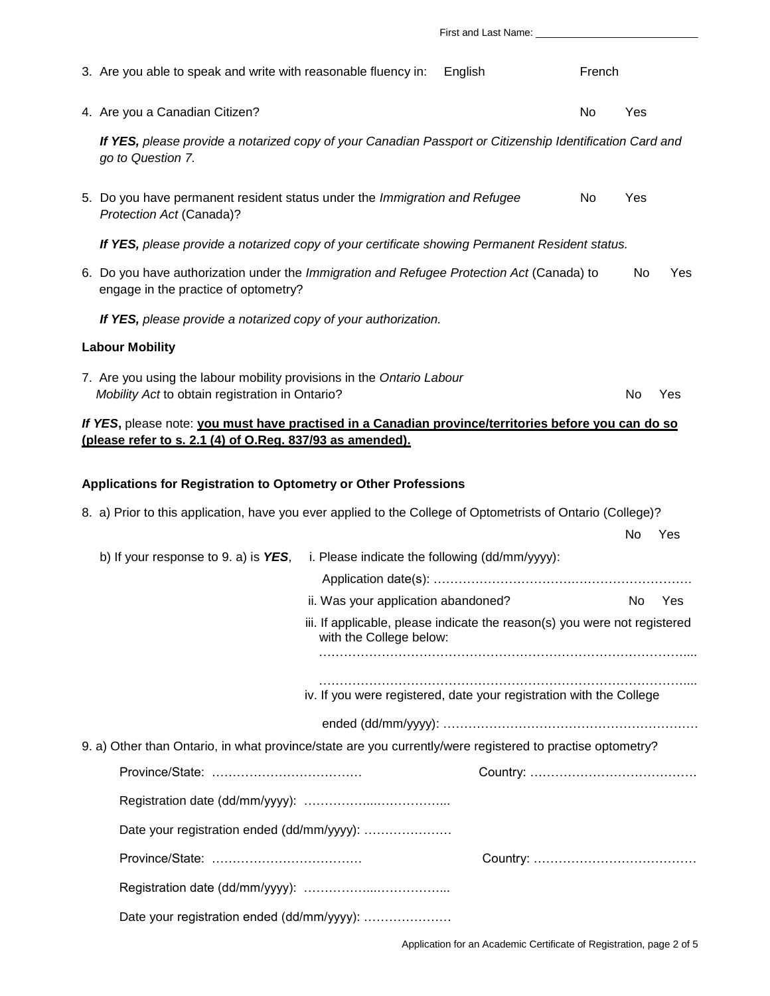| 3. Are you able to speak and write with reasonable fluency in:                                                                                                    |                                                                                                      | English | French |     |            |
|-------------------------------------------------------------------------------------------------------------------------------------------------------------------|------------------------------------------------------------------------------------------------------|---------|--------|-----|------------|
| 4. Are you a Canadian Citizen?                                                                                                                                    |                                                                                                      |         | No     | Yes |            |
| If YES, please provide a notarized copy of your Canadian Passport or Citizenship Identification Card and<br>go to Question 7.                                     |                                                                                                      |         |        |     |            |
| 5. Do you have permanent resident status under the Immigration and Refugee<br>Protection Act (Canada)?                                                            |                                                                                                      |         | No     | Yes |            |
| If YES, please provide a notarized copy of your certificate showing Permanent Resident status.                                                                    |                                                                                                      |         |        |     |            |
| 6. Do you have authorization under the Immigration and Refugee Protection Act (Canada) to<br>engage in the practice of optometry?                                 |                                                                                                      |         |        | No  | <b>Yes</b> |
| If YES, please provide a notarized copy of your authorization.                                                                                                    |                                                                                                      |         |        |     |            |
| <b>Labour Mobility</b>                                                                                                                                            |                                                                                                      |         |        |     |            |
| 7. Are you using the labour mobility provisions in the Ontario Labour<br>Mobility Act to obtain registration in Ontario?                                          |                                                                                                      |         |        | No  | Yes        |
| If YES, please note: you must have practised in a Canadian province/territories before you can do so<br>(please refer to s. 2.1 (4) of O.Reg. 837/93 as amended). |                                                                                                      |         |        |     |            |
| Applications for Registration to Optometry or Other Professions                                                                                                   |                                                                                                      |         |        |     |            |
| 8. a) Prior to this application, have you ever applied to the College of Optometrists of Ontario (College)?                                                       |                                                                                                      |         |        | No  | Yes        |
| b) If your response to 9. a) is $YES$ ,                                                                                                                           | i. Please indicate the following (dd/mm/yyyy):                                                       |         |        |     |            |
|                                                                                                                                                                   | ii. Was your application abandoned?                                                                  |         |        | No  | Yes        |
|                                                                                                                                                                   | iii. If applicable, please indicate the reason(s) you were not registered<br>with the College below: |         |        |     |            |
|                                                                                                                                                                   | iv. If you were registered, date your registration with the College                                  |         |        |     |            |
|                                                                                                                                                                   |                                                                                                      |         |        |     |            |
| 9. a) Other than Ontario, in what province/state are you currently/were registered to practise optometry?                                                         |                                                                                                      |         |        |     |            |
|                                                                                                                                                                   |                                                                                                      |         |        |     |            |
|                                                                                                                                                                   |                                                                                                      |         |        |     |            |
|                                                                                                                                                                   |                                                                                                      |         |        |     |            |
| Date your registration ended (dd/mm/yyyy):                                                                                                                        |                                                                                                      |         |        |     |            |
|                                                                                                                                                                   |                                                                                                      |         |        |     |            |
|                                                                                                                                                                   |                                                                                                      |         |        |     |            |
| Date your registration ended (dd/mm/yyyy):                                                                                                                        |                                                                                                      |         |        |     |            |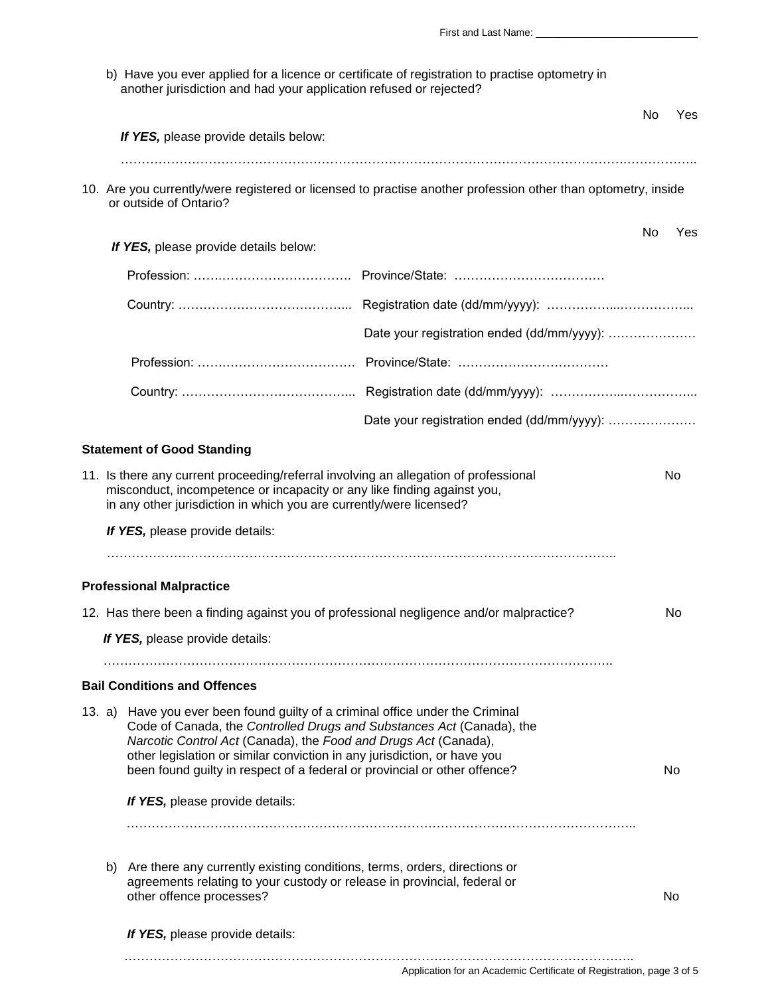First and Last Name: b) Have you ever applied for a licence or certificate of registration to practise optometry in another jurisdiction and had your application refused or rejected? No Yes  *If YES,* please provide details below: ………………………………………………………………………………………………………….…………….. 10. Are you currently/were registered or licensed to practise another profession other than optometry, inside or outside of Ontario? No Yes  *If YES,* please provide details below: Profession: …….…………………………. Province/State: ……………………………… Country: …………………………………... Registration date (dd/mm/yyyy): ……………...……………... Date your registration ended (dd/mm/yyyy): ………………… Profession: …….…………………………. Province/State: ……………………………… Country: …………………………………... Registration date (dd/mm/yyyy): ……………...……………... Date your registration ended (dd/mm/yyyy): ...................... **Statement of Good Standing** 11. Is there any current proceeding/referral involving an allegation of professional No misconduct, incompetence or incapacity or any like finding against you, in any other jurisdiction in which you are currently/were licensed?  *If YES,* please provide details: ………………………………………………………………………………………………………….. **Professional Malpractice** 12. Has there been a finding against you of professional negligence and/or malpractice? No *If YES,* please provide details: ………………………………………………………………………………………………………….. **Bail Conditions and Offences** 13. a) Have you ever been found guilty of a criminal office under the Criminal Code of Canada, the *Controlled Drugs and Substances Act* (Canada), the  *Narcotic Control Act* (Canada), the *Food and Drugs Act* (Canada), other legislation or similar conviction in any jurisdiction, or have you been found guilty in respect of a federal or provincial or other offence? No *If YES,* please provide details: ………………………………………………………………………………………………………….. b) Are there any currently existing conditions, terms, orders, directions or agreements relating to your custody or release in provincial, federal or other offence processes? No was a statement of the statement of the statement of the statement of the statement of the statement of the statement of the statement of the statement of the statement of the statement of the s *If YES,* please provide details:

…………………………………………………………………………………………………………..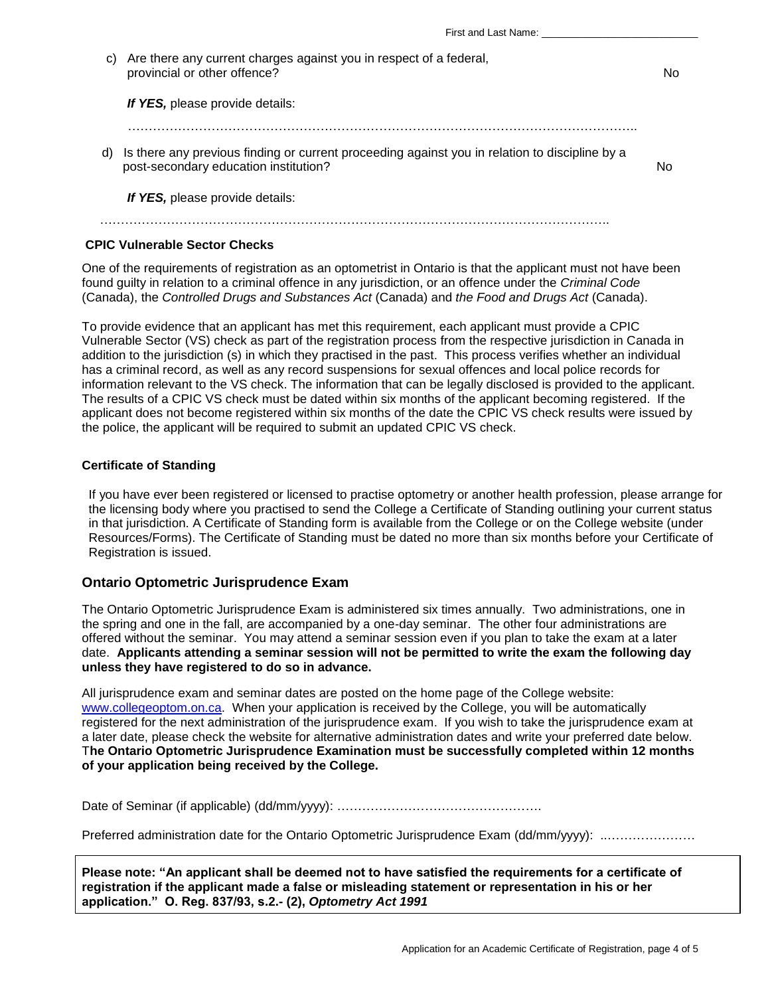| First and Last Name: |  |
|----------------------|--|
|                      |  |

| C) | Are there any current charges against you in respect of a federal,<br>provincial or other offence?                                      | N٥ |
|----|-----------------------------------------------------------------------------------------------------------------------------------------|----|
|    | If YES, please provide details:                                                                                                         |    |
| d) | Is there any previous finding or current proceeding against you in relation to discipline by a<br>post-secondary education institution? | N٥ |
|    | If YES, please provide details:                                                                                                         |    |
|    |                                                                                                                                         |    |

## **CPIC Vulnerable Sector Checks**

One of the requirements of registration as an optometrist in Ontario is that the applicant must not have been found guilty in relation to a criminal offence in any jurisdiction, or an offence under the *Criminal Code*  (Canada), the *Controlled Drugs and Substances Act* (Canada) and *the Food and Drugs Act* (Canada).

To provide evidence that an applicant has met this requirement, each applicant must provide a CPIC Vulnerable Sector (VS) check as part of the registration process from the respective jurisdiction in Canada in addition to the jurisdiction (s) in which they practised in the past. This process verifies whether an individual has a criminal record, as well as any record suspensions for sexual offences and local police records for information relevant to the VS check. The information that can be legally disclosed is provided to the applicant. The results of a CPIC VS check must be dated within six months of the applicant becoming registered. If the applicant does not become registered within six months of the date the CPIC VS check results were issued by the police, the applicant will be required to submit an updated CPIC VS check.

## **Certificate of Standing**

If you have ever been registered or licensed to practise optometry or another health profession, please arrange for the licensing body where you practised to send the College a Certificate of Standing outlining your current status in that jurisdiction. A Certificate of Standing form is available from the College or on the College website (under Resources/Forms). The Certificate of Standing must be dated no more than six months before your Certificate of Registration is issued.

## **Ontario Optometric Jurisprudence Exam**

The Ontario Optometric Jurisprudence Exam is administered six times annually. Two administrations, one in the spring and one in the fall, are accompanied by a one-day seminar. The other four administrations are offered without the seminar. You may attend a seminar session even if you plan to take the exam at a later date. **Applicants attending a seminar session will not be permitted to write the exam the following day unless they have registered to do so in advance.**

All jurisprudence exam and seminar dates are posted on the home page of the College website: [www.collegeoptom.on.ca.](http://www.collegeoptom.on.ca/) When your application is received by the College, you will be automatically registered for the next administration of the jurisprudence exam. If you wish to take the jurisprudence exam at a later date, please check the website for alternative administration dates and write your preferred date below. T**he Ontario Optometric Jurisprudence Examination must be successfully completed within 12 months of your application being received by the College.**

Date of Seminar (if applicable) (dd/mm/yyyy): ………………………………………….

Preferred administration date for the Ontario Optometric Jurisprudence Exam (dd/mm/yyyy): ..…………………

**Please note: "An applicant shall be deemed not to have satisfied the requirements for a certificate of registration if the applicant made a false or misleading statement or representation in his or her application." O. Reg. 837/93, s.2.- (2),** *Optometry Act 1991*